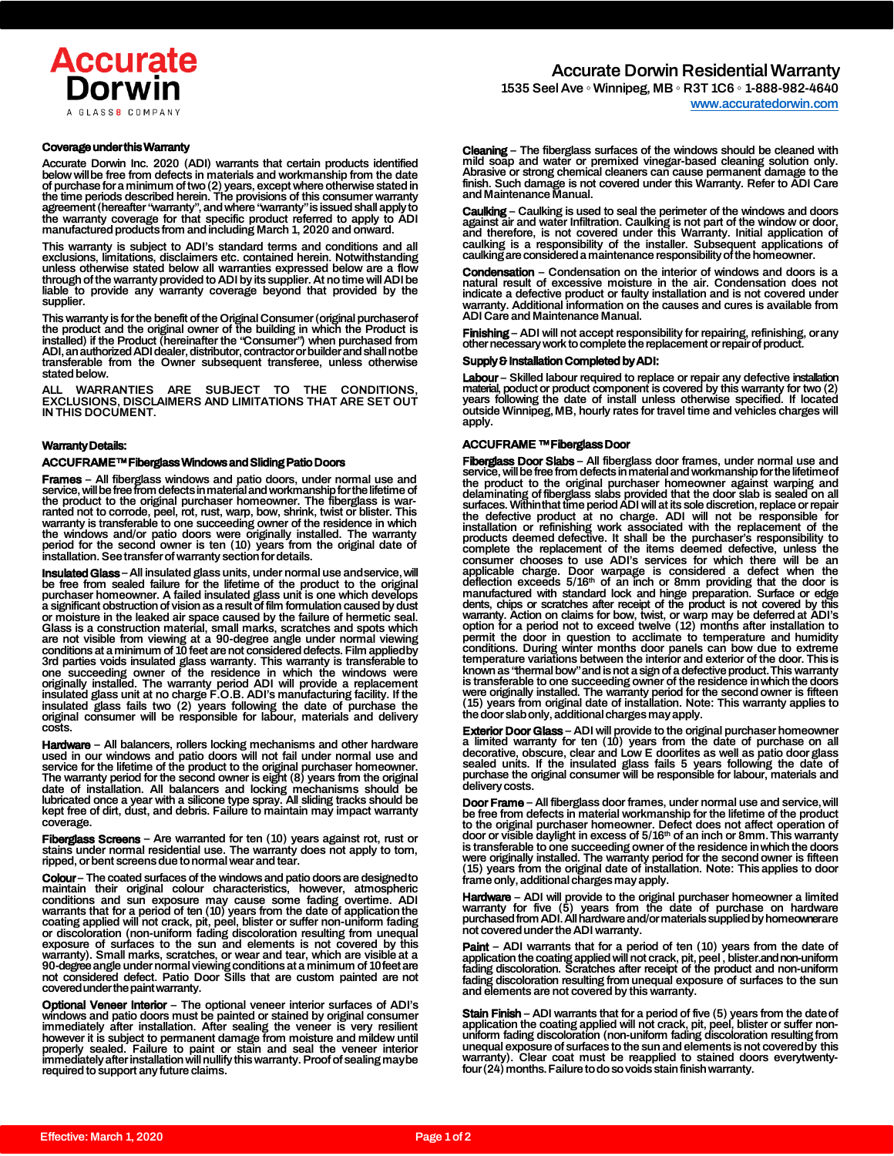

1535 Seel Ave ◦ Winnipeg, MB ◦ R3T 1C6 ◦ 1-888-982-4640 [www.accuratedorwin.com](http://www.accuratedorwin.com/)

#### Coverage under this Warranty

Accurate Dorwin Inc. 2020 (ADI) warrants that certain products identified below willbe free from defects in materials and workmanship from the date of purchase for a minimum of two (2) years, except where otherwise stated in<br>the time periods described herein. The provisions of this consumer warranty<br>agreement (hereafter "warranty", and where "warranty" is issued shall manufactured products from and including March 1, 2020 and onward.

This warranty is subject to ADI's standard terms and conditions and all exclusions, limitations, disclaimers etc. contained herein. Notwithstanding unless otherwise stated below all warranties expressed below are a flow through of the warranty provided to ADI by its supplier. At no time will ADI be liable to provide any warranty coverage beyond that provided by the supplier.

This warranty is for the benefit of the Original Consumer (original purchaserof<br>the product and the original owner of the building in which the Product is<br>installed) if the Product (hereinafter the "Consumer") when purchas stated below.

ALL WARRANTIES ARE SUBJECT TO THE CONDITIONS, EXCLUSIONS, DISCLAIMERS AND LIMITATIONS THAT ARE SET OUT IN THIS DOCUMENT.

#### Warranty Details:

#### ACCUFRAME™ Fiberglass Windows and Sliding Patio Doors

**Frames** – All fiberglass windows and patio doors, under normal use and<br>service, will be free from defects in material and workmanship for the lifetime of the product to the original purchaser homeowner. The fiberglass is war-ranted not to corrode, peel, rot, rust, warp, bow, shrink, twist or blister. This warranty is transferable to one succeeding owner of the residence in which the windows and/or patio doors were originally installed. The warranty period for the second owner is ten (10) years from the original date of installation. See transfer of warranty section for details.

**Insulated Glass** – All insulated glass units, under normal use and service, will<br>be free from sealed failure for the lifetime of the product to the original<br>purchaser homeowner. A failed insulated glass unit is one which or moisture in the leaked air space caused by the failure of hermetic seal.<br>Glass is a construction material, small marks, scratches and spots which<br>are not visible from viewing at a 90-degree angle under normal viewing<br>co 3rd parties voids insulated glass warranty. This warranty is transferable to one succeeding owner of the residence in which the windows were originally installed. The warranty period ADI will provide a replacement insulate original consumer will be responsible for labour, materials and delivery costs.

**Hardware** – All balancers, rollers locking mechanisms and other hardware<br>used in our windows and patio doors will not fail under normal use and service for the lifetime of the product to the original purchaser homeowner. The warranty period for the second owner is eight (8) years from the original date of installation. All balancers and locking mechanisms should be<br>lubricated once a year with a silicone type spray. All sliding tracks should be<br>kept free of dirt, dust, and debris. Failure to maintain may impact warra coverage.

Fiberglass Screens - Are warranted for ten (10) years against rot, rust or stains under normal residential use. The warranty does not apply to torn, ripped, or bent screens due to normal wear and tear.

Colour – The coated surfaces of the windows and patio doors are designedto maintain their original colour characteristics, however, atmospheric conditions and sun exposure may cause some fading overtime. ADI<br>warrants that for a period of ten (10) years from the date of application the<br>coating applied will not crack, pit, peel, blister or suffer non-uniform fading<br> warranty). Small marks, scratches, or wear and tear, which are visible at a 90-degreeangle under normal viewing conditions at a minimum of 10feet are not considered defect. Patio Door Sills that are custom painted are not covered under the paint warranty.

Optional Veneer Interior – The optional veneer interior surfaces of ADI's windows and patio doors must be painted or stained by original consumer<br>immediately after installation. After sealing the veneer is very resilient<br>however it is subject to permanent damage from moisture and mildew until<br>pr required to support any future claims.

Cleaning – The fiberglass surfaces of the windows should be cleaned with mild soap and water or premixed vinegar-based cleaning solution only. Abrasive or strong chemical cleaners can cause permanent damage to the finish. Such damage is not covered under this Warranty. Refer to ADI Care and Maintenance Manual.

Caulking – Caulking is used to seal the perimeter of the windows and doors against air and water Infiltration. Caulking is not part of the window or door and therefore, is not covered under this Warranty. Initial application of caulking is a responsibility of the installer. Subsequent applications of caulking are considered a maintenance responsibility of the homeowner.

**Condensation** – Condensation on the interior of windows and doors is a<br>natural result of excessive moisture in the air. Condensation does not<br>indicate a defective product or faulty installation and is not covered under<br>wa ADI Care and Maintenance Manual.

**Finishing** – ADI will not accept responsibility for repairing, refinishing, orany<br>other necessary work to complete the replacement or repair of product.

# Supply & Installation Completed by ADI:

Labour - Skilled labour required to replace or repair any defective installation material, poduct or product component is covered by this warranty for two (2) years following the date of install unless otherwise specified. If located outside Winnipeg,MB, hourly rates for travel time and vehicles charges will apply.

# ACCUFRAME ™ Fiberglass Door

**Fiberglass Door Slabs** – All fiberglass door frames, under normal use and service, will be free from defects in material and workmanship for the lifetime of the original purchaser homeowner against warping and delaminatin the defective product at no charge. ADI will not be responsible for installation or refinishing work associated with the replacement of the<br>products deemed defective. It shall be the purchaser's responsibility to<br>complete the replacement of the items deemed defective, unless the<br>consumer c applicable charge. Door warpage is considered a defect when the<br>deflection exceeds 5/16<sup>th</sup> of an inch or 8mm providing that the door is<br>manufactured with standard lock and hinge preparation. Surface or edge<br>dents, chips o warranty. Action on claims for bow, twist, or warp may be deferred at ADI's<br>option for a period not to exceed twelve (12) months after installation to<br>permit the door in question to acclimate to temperature and humidity<br>co known as "thermal bow" and is not a sign of a defective product.This warranty is transferable to one succeeding owner of the residence inwhich the doors were originally installed. The warranty period for the second owner is fifteen (15) years from original date of installation. Note: This warranty applies to the door slabonly, additional charges may apply.

**Exterior Door Glass** – ADI will provide to the original purchaser homeowner<br>a limited warranty for ten (10) years from the date of purchase on all<br>decorative, obscure, clear and Low E doorlites as well as patio door glass sealed units. If the insulated glass fails 5 years following the date of purchase the original consumer will be responsible for labour, materials and delivery costs.

**Door Frame** – All fiberglass door frames, under normal use and service, will<br>be free from defects in material workmanship for the lifetime of the product to the original purchaser homeowner. Defect does not affect operation of door or visible daylight in excess of 5/16th of an inch or 8mm.This warranty is transferable to one succeeding owner of the residence inwhich the doors were originally installed. The warranty period for the second owner is fifteen (15) years from the original date of installation. Note: This applies to door frame only, additional charges may apply.

**Hardware** – ADI will provide to the original purchaser homeowner a limited<br>warranty for five (5) years from the date of purchase on hardware<br>purchasedfrom ADI. All hardware and/or materials supplied by homeownerare not covered under the ADI warranty.

**Paint** – ADI warrants that for a period of ten (10) years from the date of application the coating applied will not crack, pit, peel, blister.and non-uniform fading discoloration. Scratches after receipt of the product an

**Stain Finish** – ADI warrants that for a period of five (5) years from the date of<br>application the coating applied will not crack, pit, peel, blister or suffer nonuniform fading discoloration (non-uniform fading discoloration resulting from unequal exposure of surfaces to the sun and elements is not coveredby this warranty). Clear coat must be reapplied to stained doors everytwenty-four(24) months.Failure to do so voids stain finishwarranty.